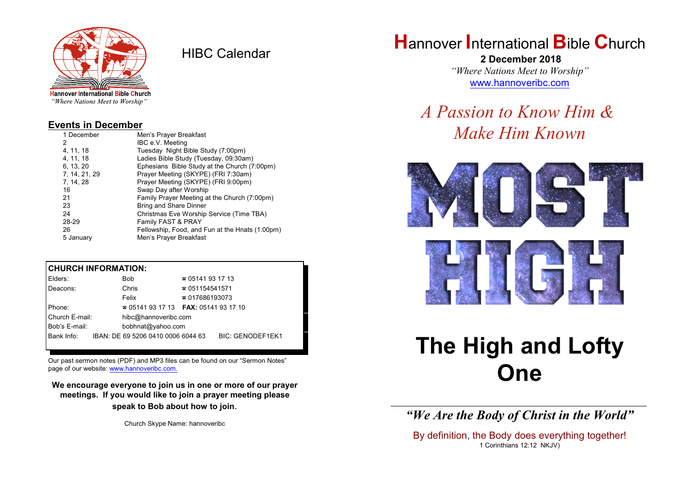

HIBC Calendar

"Where Nations Meet to Worship"

#### **Events in December**

| 1 December    | Men's Prayer Breakfast                          |
|---------------|-------------------------------------------------|
| 2             | IBC e.V. Meeting                                |
| 4, 11, 18     | Tuesday Night Bible Study (7:00pm)              |
| 4.11.18       | Ladies Bible Study (Tuesday, 09:30am)           |
| 6, 13, 20     | Ephesians Bible Study at the Church (7:00pm)    |
| 7, 14, 21, 29 | Prayer Meeting (SKYPE) (FRI 7:30am)             |
| 7, 14, 28     | Prayer Meeting (SKYPE) (FRI 9:00pm)             |
| 16            | Swap Day after Worship                          |
| 21            | Family Prayer Meeting at the Church (7:00pm)    |
| 23            | <b>Bring and Share Dinner</b>                   |
| 24            | Christmas Eve Worship Service (Time TBA)        |
| 28-29         | Family FAST & PRAY                              |
| 26            | Fellowship, Food, and Fun at the Hnats (1:00pm) |
| 5 January     | Men's Prayer Breakfast                          |

#### **CHURCH INFORMATION:**

| Elders:        | Bob                                      | $\approx 05141931713$  |                         |
|----------------|------------------------------------------|------------------------|-------------------------|
| Deacons:       | Chris                                    | $\approx 051154541571$ |                         |
|                | Felix                                    | $\approx 017686193073$ |                         |
| Phone:         | $\approx 05141931713$ FAX: 0514193 17 10 |                        |                         |
| Church E-mail: | hibc@hannoveribc.com                     |                        |                         |
| Bob's E-mail:  | bobhnat@yahoo.com                        |                        |                         |
| Bank Info:     | IBAN: DE 69 5206 0410 0006 6044 63       |                        | <b>BIC: GENODEF1EK1</b> |
|                |                                          |                        |                         |

Our past sermon notes (PDF) and MP3 files can be found on our "Sermon Notes" page of our website: [www.hannoveribc.com.](http://www.hannoveribc.com.)

**We encourage everyone to join us in one or more of our prayer meetings. If you would like to join a prayer meeting please speak to Bob about how to join**.

Church Skype Name: hannoveribc

## **H**annover **I**nternational **B**ible **C**hurch

 **2 December 2018** *"Where Nations Meet to Worship"* [www.hannoveribc.com](http://www.hannoveribc.com)

# *A Passion to Know Him & Make Him Known*





# **The High and Lofty One**

\_\_\_\_\_\_\_\_\_\_\_\_\_\_\_\_\_\_\_\_\_\_\_\_\_\_\_\_\_\_\_\_\_\_\_\_\_\_\_\_\_\_\_\_\_\_\_\_\_\_\_\_\_\_\_\_\_\_\_\_\_\_ *"We Are the Body of Christ in the World"*

By definition, the Body does everything together! 1 Corinthians 12:12 NKJV)